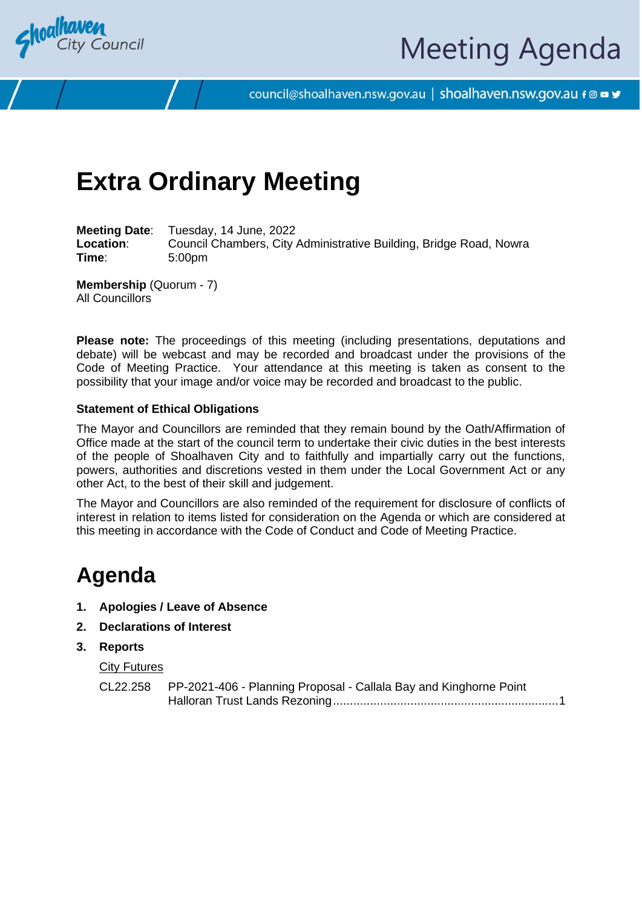

# Meeting Agenda

council@shoalhaven.nsw.gov.au | shoalhaven.nsw.gov.au f @ ■ y

## **Extra Ordinary Meeting**

**Meeting Date**: Tuesday, 14 June, 2022 **Location**: Council Chambers, City Administrative Building, Bridge Road, Nowra **Time**: 5:00pm

**Membership** (Quorum - 7) All Councillors

**Please note:** The proceedings of this meeting (including presentations, deputations and debate) will be webcast and may be recorded and broadcast under the provisions of the Code of Meeting Practice. Your attendance at this meeting is taken as consent to the possibility that your image and/or voice may be recorded and broadcast to the public.

#### **Statement of Ethical Obligations**

The Mayor and Councillors are reminded that they remain bound by the Oath/Affirmation of Office made at the start of the council term to undertake their civic duties in the best interests of the people of Shoalhaven City and to faithfully and impartially carry out the functions, powers, authorities and discretions vested in them under the Local Government Act or any other Act, to the best of their skill and judgement.

The Mayor and Councillors are also reminded of the requirement for disclosure of conflicts of interest in relation to items listed for consideration on the Agenda or which are considered at this meeting in accordance with the Code of Conduct and Code of Meeting Practice.

### **Agenda**

- **1. Apologies / Leave of Absence**
- **2. Declarations of Interest**
- **3. Reports**

#### City Futures

| CL22.258 PP-2021-406 - Planning Proposal - Callala Bay and Kinghorne Point |
|----------------------------------------------------------------------------|
|                                                                            |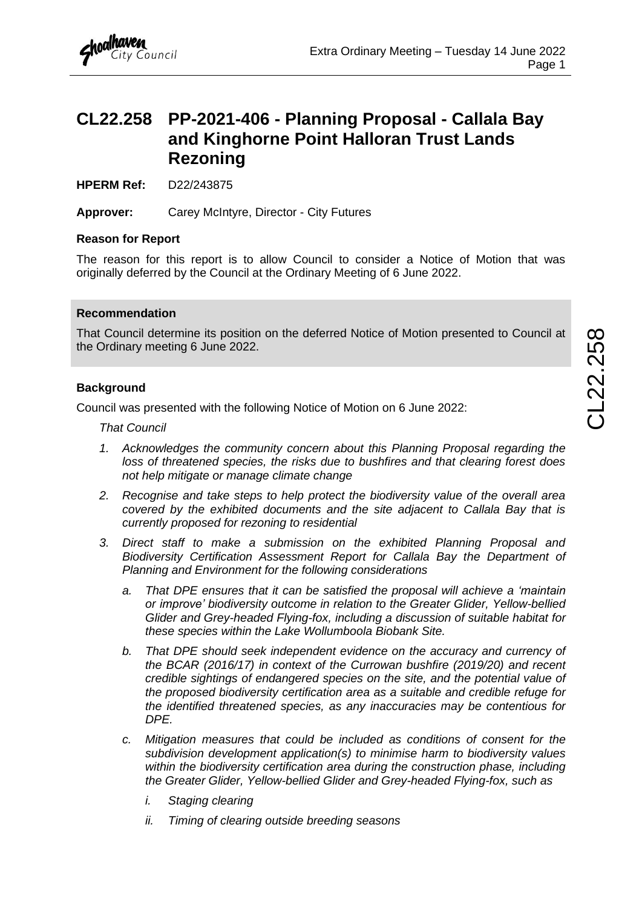### <span id="page-1-0"></span>**CL22.258 PP-2021-406 - Planning Proposal - Callala Bay and Kinghorne Point Halloran Trust Lands Rezoning**

**HPERM Ref:** D22/243875

**Approver:** Carey McIntyre, Director - City Futures

#### **Reason for Report**

The reason for this report is to allow Council to consider a Notice of Motion that was originally deferred by the Council at the Ordinary Meeting of 6 June 2022.

#### **Recommendation**

That Council determine its position on the deferred Notice of Motion presented to Council at the Ordinary meeting 6 June 2022.

#### **Background**

Council was presented with the following Notice of Motion on 6 June 2022:

*That Council*

- *1. Acknowledges the community concern about this Planning Proposal regarding the loss of threatened species, the risks due to bushfires and that clearing forest does not help mitigate or manage climate change*
- *2. Recognise and take steps to help protect the biodiversity value of the overall area covered by the exhibited documents and the site adjacent to Callala Bay that is currently proposed for rezoning to residential*
- *3. Direct staff to make a submission on the exhibited Planning Proposal and Biodiversity Certification Assessment Report for Callala Bay the Department of Planning and Environment for the following considerations*
	- *a. That DPE ensures that it can be satisfied the proposal will achieve a 'maintain or improve' biodiversity outcome in relation to the Greater Glider, Yellow-bellied Glider and Grey-headed Flying-fox, including a discussion of suitable habitat for these species within the Lake Wollumboola Biobank Site.*
	- *b. That DPE should seek independent evidence on the accuracy and currency of the BCAR (2016/17) in context of the Currowan bushfire (2019/20) and recent credible sightings of endangered species on the site, and the potential value of the proposed biodiversity certification area as a suitable and credible refuge for the identified threatened species, as any inaccuracies may be contentious for DPE.*
	- *c. Mitigation measures that could be included as conditions of consent for the subdivision development application(s) to minimise harm to biodiversity values within the biodiversity certification area during the construction phase, including the Greater Glider, Yellow-bellied Glider and Grey-headed Flying-fox, such as*
		- *i. Staging clearing*
		- *ii. Timing of clearing outside breeding seasons*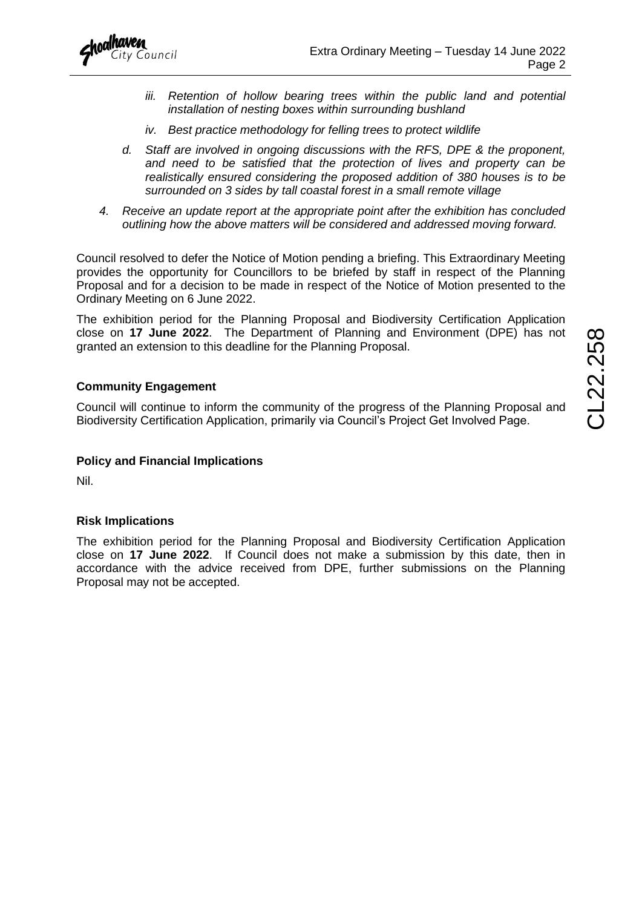

- *iii. Retention of hollow bearing trees within the public land and potential installation of nesting boxes within surrounding bushland*
- *iv. Best practice methodology for felling trees to protect wildlife*
- *d. Staff are involved in ongoing discussions with the RFS, DPE & the proponent, and need to be satisfied that the protection of lives and property can be realistically ensured considering the proposed addition of 380 houses is to be surrounded on 3 sides by tall coastal forest in a small remote village*
- *4. Receive an update report at the appropriate point after the exhibition has concluded outlining how the above matters will be considered and addressed moving forward.*

Council resolved to defer the Notice of Motion pending a briefing. This Extraordinary Meeting provides the opportunity for Councillors to be briefed by staff in respect of the Planning Proposal and for a decision to be made in respect of the Notice of Motion presented to the Ordinary Meeting on 6 June 2022.

The exhibition period for the Planning Proposal and Biodiversity Certification Application close on **17 June 2022**. The Department of Planning and Environment (DPE) has not granted an extension to this deadline for the Planning Proposal.

#### **Community Engagement**

Council will continue to inform the community of the progress of the Planning Proposal and Biodiversity Certification Application, primarily via Council's Project Get Involved Page.

#### **Policy and Financial Implications**

Nil.

#### **Risk Implications**

The exhibition period for the Planning Proposal and Biodiversity Certification Application close on **17 June 2022**. If Council does not make a submission by this date, then in accordance with the advice received from DPE, further submissions on the Planning Proposal may not be accepted.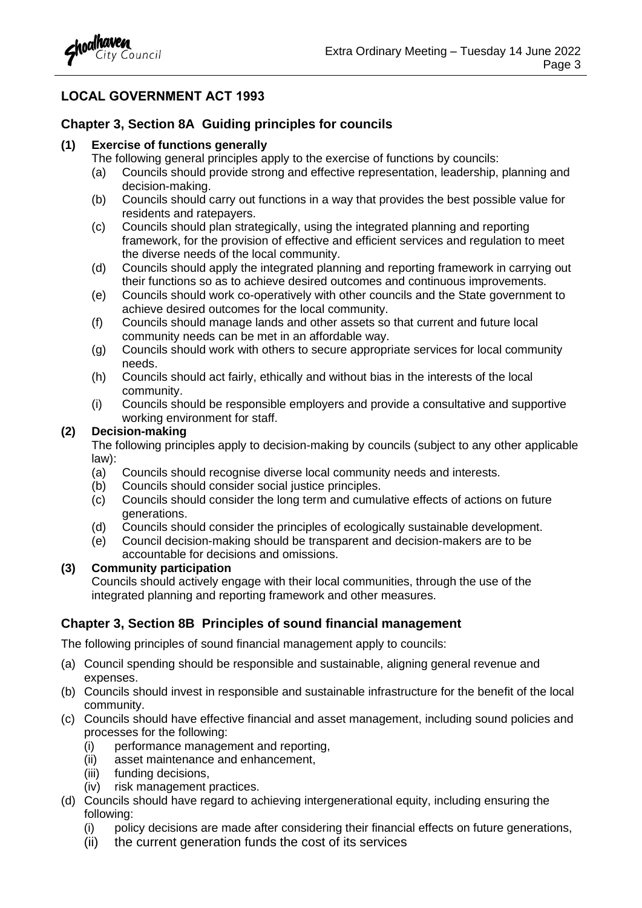

#### **LOCAL GOVERNMENT ACT 1993**

#### **Chapter 3, Section 8A Guiding principles for councils**

#### **(1) Exercise of functions generally**

- The following general principles apply to the exercise of functions by councils:
- (a) Councils should provide strong and effective representation, leadership, planning and decision-making.
- (b) Councils should carry out functions in a way that provides the best possible value for residents and ratepayers.
- (c) Councils should plan strategically, using the integrated planning and reporting framework, for the provision of effective and efficient services and regulation to meet the diverse needs of the local community.
- (d) Councils should apply the integrated planning and reporting framework in carrying out their functions so as to achieve desired outcomes and continuous improvements.
- (e) Councils should work co-operatively with other councils and the State government to achieve desired outcomes for the local community.
- (f) Councils should manage lands and other assets so that current and future local community needs can be met in an affordable way.
- (g) Councils should work with others to secure appropriate services for local community needs.
- (h) Councils should act fairly, ethically and without bias in the interests of the local community.
- (i) Councils should be responsible employers and provide a consultative and supportive working environment for staff.

#### **(2) Decision-making**

The following principles apply to decision-making by councils (subject to any other applicable law):

- (a) Councils should recognise diverse local community needs and interests.
- (b) Councils should consider social justice principles.
- (c) Councils should consider the long term and cumulative effects of actions on future generations.
- (d) Councils should consider the principles of ecologically sustainable development.
- (e) Council decision-making should be transparent and decision-makers are to be accountable for decisions and omissions.

#### **(3) Community participation**

Councils should actively engage with their local communities, through the use of the integrated planning and reporting framework and other measures.

#### **Chapter 3, Section 8B Principles of sound financial management**

The following principles of sound financial management apply to councils:

- (a) Council spending should be responsible and sustainable, aligning general revenue and expenses.
- (b) Councils should invest in responsible and sustainable infrastructure for the benefit of the local community.
- (c) Councils should have effective financial and asset management, including sound policies and processes for the following:
	- (i) performance management and reporting,
	- (ii) asset maintenance and enhancement,
	- (iii) funding decisions,
	- (iv) risk management practices.
- (d) Councils should have regard to achieving intergenerational equity, including ensuring the following:
	- (i) policy decisions are made after considering their financial effects on future generations,
	- (ii) the current generation funds the cost of its services